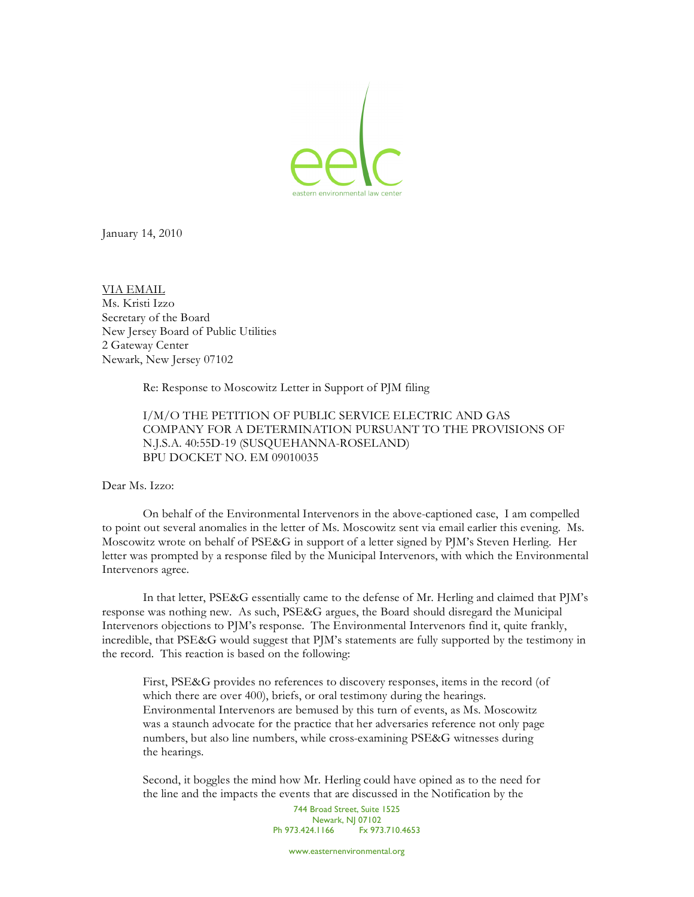

January 14, 2010

VIA EMAIL Ms. Kristi Izzo Secretary of the Board New Jersey Board of Public Utilities 2 Gateway Center Newark, New Jersey 07102

Re: Response to Moscowitz Letter in Support of PJM filing

I/M/O THE PETITION OF PUBLIC SERVICE ELECTRIC AND GAS COMPANY FOR A DETERMINATION PURSUANT TO THE PROVISIONS OF N.J.S.A. 40:55D-19 (SUSQUEHANNA-ROSELAND) BPU DOCKET NO. EM 09010035

## Dear Ms. Izzo:

On behalf of the Environmental Intervenors in the above-captioned case, I am compelled to point out several anomalies in the letter of Ms. Moscowitz sent via email earlier this evening. Ms. Moscowitz wrote on behalf of PSE&G in support of a letter signed by PJM's Steven Herling. Her letter was prompted by a response filed by the Municipal Intervenors, with which the Environmental Intervenors agree.

In that letter, PSE&G essentially came to the defense of Mr. Herling and claimed that PJM's response was nothing new. As such, PSE&G argues, the Board should disregard the Municipal Intervenors objections to PJM's response. The Environmental Intervenors find it, quite frankly, incredible, that PSE&G would suggest that PJM's statements are fully supported by the testimony in the record. This reaction is based on the following:

First, PSE&G provides no references to discovery responses, items in the record (of which there are over 400), briefs, or oral testimony during the hearings. Environmental Intervenors are bemused by this turn of events, as Ms. Moscowitz was a staunch advocate for the practice that her adversaries reference not only page numbers, but also line numbers, while cross-examining PSE&G witnesses during the hearings.

Second, it boggles the mind how Mr. Herling could have opined as to the need for the line and the impacts the events that are discussed in the Notification by the

> 744 Broad Street, Suite 1525 Newark, NJ 07102<br>4.1166 Fx 973.710.4653 Ph 973.424.1166